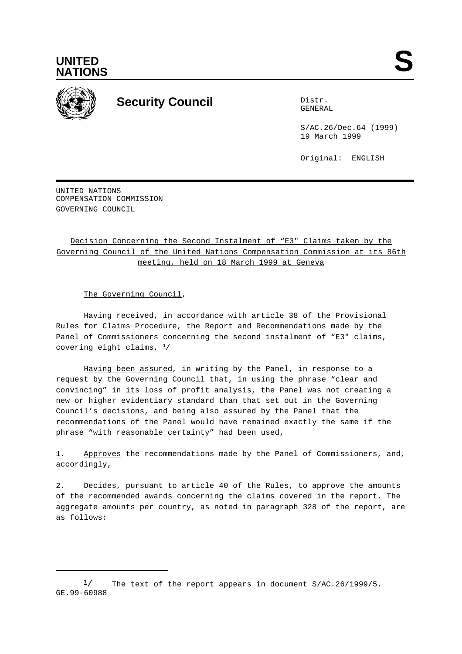



## **Security Council** Distribution Distribution

GENERAL

S/AC.26/Dec.64 (1999) 19 March 1999

Original: ENGLISH

UNITED NATIONS COMPENSATION COMMISSION GOVERNING COUNCIL

## Decision Concerning the Second Instalment of "E3" Claims taken by the Governing Council of the United Nations Compensation Commission at its 86th meeting, held on 18 March 1999 at Geneva

The Governing Council,

Having received, in accordance with article 38 of the Provisional Rules for Claims Procedure, the Report and Recommendations made by the Panel of Commissioners concerning the second instalment of "E3" claims, covering eight claims,  $\frac{1}{2}$ 

Having been assured, in writing by the Panel, in response to a request by the Governing Council that, in using the phrase "clear and convincing" in its loss of profit analysis, the Panel was not creating a new or higher evidentiary standard than that set out in the Governing Council's decisions, and being also assured by the Panel that the recommendations of the Panel would have remained exactly the same if the phrase "with reasonable certainty" had been used,

1. Approves the recommendations made by the Panel of Commissioners, and, accordingly,

2. Decides, pursuant to article 40 of the Rules, to approve the amounts of the recommended awards concerning the claims covered in the report. The aggregate amounts per country, as noted in paragraph 328 of the report, are as follows:

 $\frac{1}{2}$  The text of the report appears in document S/AC.26/1999/5. GE.99-60988